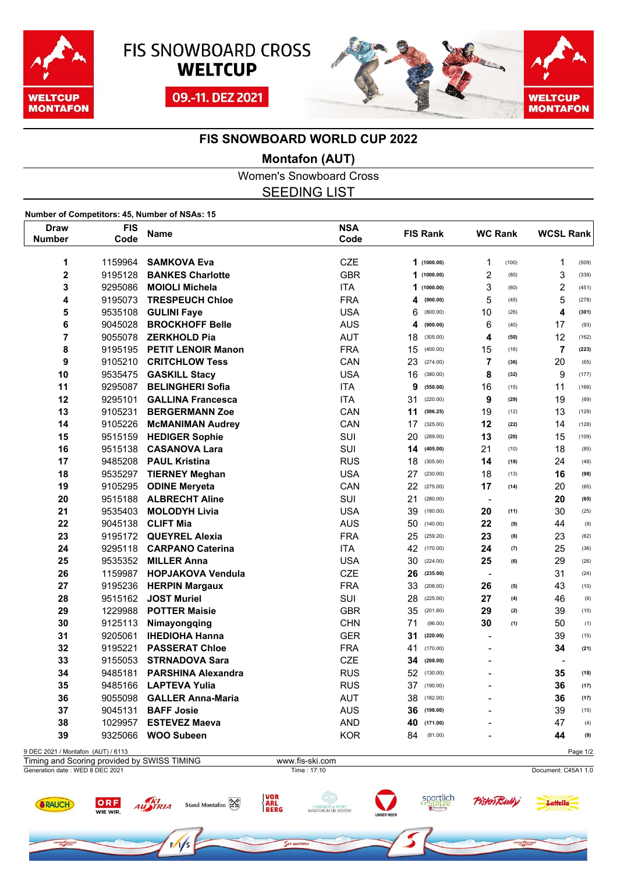





### **FIS SNOWBOARD WORLD CUP 2022**

### **Montafon (AUT)**

Women's Snowboard Cross SEEDING LIST

**Number of Competitors: 45, Number of NSAs: 15**

ORF

WIE WIR.

RAUCH

**REFAQAR** 

AUSTRIA

| <b>FIS</b><br>Draw<br>Code<br><b>Number</b> |         | Name                      | <b>NSA</b><br>Code | <b>FIS Rank</b> |             | <b>WC Rank</b>           |       | <b>WCSL Rank</b>         |          |
|---------------------------------------------|---------|---------------------------|--------------------|-----------------|-------------|--------------------------|-------|--------------------------|----------|
|                                             |         |                           |                    |                 |             |                          |       |                          |          |
| 1                                           | 1159964 | <b>SAMKOVA Eva</b>        | <b>CZE</b>         |                 | 1(1000.00)  | 1                        | (100) | $\mathbf{1}$             | (509)    |
| $\overline{\mathbf{c}}$                     | 9195128 | <b>BANKES Charlotte</b>   | <b>GBR</b>         | 1               | (1000.00)   | $\overline{2}$           | (80)  | 3                        | (339)    |
| 3                                           | 9295086 | <b>MOIOLI Michela</b>     | <b>ITA</b>         | 1               | (1000.00)   | 3                        | (60)  | $\overline{2}$           | (451)    |
| 4                                           | 9195073 | <b>TRESPEUCH Chloe</b>    | <b>FRA</b>         | 4               | (900.00)    | 5                        | (45)  | 5                        | (278)    |
| 5                                           | 9535108 | <b>GULINI Fave</b>        | <b>USA</b>         | 6               | (800.00)    | 10                       | (26)  | 4                        | (301)    |
| 6                                           | 9045028 | <b>BROCKHOFF Belle</b>    | <b>AUS</b>         | 4               | (900.00)    | 6                        | (40)  | 17                       | (93)     |
| 7                                           | 9055078 | <b>ZERKHOLD Pia</b>       | <b>AUT</b>         | 18              | (305.00)    | 4                        | (50)  | 12                       | (162)    |
| 8                                           | 9195195 | <b>PETIT LENOIR Manon</b> | <b>FRA</b>         | 15              | (400.00)    | 15                       | (16)  | $\overline{7}$           | (223)    |
| 9                                           | 9105210 | <b>CRITCHLOW Tess</b>     | CAN                | 23              | (274.00)    | $\overline{7}$           | (36)  | 20                       | (65)     |
| 10                                          | 9535475 | <b>GASKILL Stacy</b>      | <b>USA</b>         | 16              | (380.00)    | 8                        | (32)  | 9                        | (177)    |
| 11                                          | 9295087 | <b>BELINGHERI Sofia</b>   | <b>ITA</b>         | 9               | (550.00)    | 16                       | (15)  | 11                       | (166)    |
| 12                                          | 9295101 | <b>GALLINA Francesca</b>  | <b>ITA</b>         | 31              | (220.00)    | 9                        | (29)  | 19                       | (69)     |
| 13                                          | 9105231 | <b>BERGERMANN Zoe</b>     | CAN                | 11              | (506.25)    | 19                       | (12)  | 13                       | (129)    |
| 14                                          | 9105226 | <b>McMANIMAN Audrey</b>   | CAN                | 17              | (325.00)    | 12                       | (22)  | 14                       | (128)    |
| 15                                          | 9515159 | <b>HEDIGER Sophie</b>     | SUI                | 20              | (289.00)    | 13                       | (20)  | 15                       | (109)    |
| 16                                          | 9515138 | <b>CASANOVA Lara</b>      | SUI                | 14              | (405.00)    | 21                       | (10)  | 18                       | (85)     |
| 17                                          | 9485208 | <b>PAUL Kristina</b>      | <b>RUS</b>         | 18              | (305.00)    | 14                       | (18)  | 24                       | (48)     |
| 18                                          | 9535297 | <b>TIERNEY Meghan</b>     | <b>USA</b>         | 27              | (230.00)    | 18                       | (13)  | 16                       | (98)     |
| 19                                          | 9105295 | <b>ODINE Meryeta</b>      | CAN                | 22              | (275.00)    | 17                       | (14)  | 20                       | (65)     |
| 20                                          | 9515188 | <b>ALBRECHT Aline</b>     | SUI                | 21              | (280.00)    | $\blacksquare$           |       | 20                       | (65)     |
| 21                                          | 9535403 | <b>MOLODYH Livia</b>      | <b>USA</b>         | 39              | (180.00)    | 20                       | (11)  | 30                       | (25)     |
| 22                                          | 9045138 | <b>CLIFT Mia</b>          | <b>AUS</b>         | 50              | (140.00)    | 22                       | (9)   | 44                       | (9)      |
| 23                                          | 9195172 | <b>QUEYREL Alexia</b>     | <b>FRA</b>         | 25              | (259.20)    | 23                       | (8)   | 23                       | (62)     |
| 24                                          | 9295118 | <b>CARPANO Caterina</b>   | <b>ITA</b>         |                 | 42 (170.00) | 24                       | (7)   | 25                       | (36)     |
| 25                                          | 9535352 | <b>MILLER Anna</b>        | <b>USA</b>         | 30              | (224.00)    | 25                       | (6)   | 29                       | (26)     |
| 26                                          | 1159987 | <b>HOPJAKOVA Vendula</b>  | <b>CZE</b>         | 26              | (235.00)    | $\blacksquare$           |       | 31                       | (24)     |
| 27                                          | 9195236 | <b>HERPIN Margaux</b>     | <b>FRA</b>         | 33              | (208.00)    | 26                       | (5)   | 43                       | (10)     |
| 28                                          | 9515162 | <b>JOST Muriel</b>        | SUI                | 28              | (225.00)    | 27                       | (4)   | 46                       | (6)      |
| 29                                          | 1229988 | <b>POTTER Maisie</b>      | <b>GBR</b>         | 35              | (201.60)    | 29                       | (2)   | 39                       | (15)     |
| 30                                          | 9125113 | Nimayongqing              | <b>CHN</b>         | 71              | (96.00)     | 30                       | (1)   | 50                       | (1)      |
| 31                                          | 9205061 | <b>IHEDIOHA Hanna</b>     | <b>GER</b>         | 31              | (220.00)    | $\overline{\phantom{a}}$ |       | 39                       | (15)     |
| 32                                          | 9195221 | <b>PASSERAT Chloe</b>     | <b>FRA</b>         | 41              | (170.00)    | $\overline{a}$           |       | 34                       | (21)     |
| 33                                          | 9155053 | <b>STRNADOVA Sara</b>     | <b>CZE</b>         | 34              | (208.00)    | $\overline{a}$           |       | $\overline{\phantom{a}}$ |          |
| 34                                          | 9485181 | <b>PARSHINA Alexandra</b> | <b>RUS</b>         |                 | 52 (130.00) | $\overline{\phantom{0}}$ |       | 35                       | (18)     |
| 35                                          | 9485166 | <b>LAPTEVA Yulia</b>      | <b>RUS</b>         | 37              | (190.00)    | $\overline{a}$           |       | 36                       | (17)     |
| 36                                          | 9055098 | <b>GALLER Anna-Maria</b>  | <b>AUT</b>         | 38              | (182.00)    | $\blacksquare$           |       | 36                       | (17)     |
| 37                                          | 9045131 | <b>BAFF Josie</b>         | <b>AUS</b>         | 36              | (198.00)    |                          |       | 39                       | (15)     |
| 38                                          | 1029957 | <b>ESTEVEZ Maeva</b>      | <b>AND</b>         | 40              | (171.00)    |                          |       | 47                       | (4)      |
| 39                                          | 9325066 | <b>WOO Subeen</b>         | <b>KOR</b>         | 84              | (81.00)     |                          |       | 44                       | (9)      |
| 9 DEC 2021 / Montafon (AUT) / 6113          |         |                           |                    |                 |             |                          |       |                          | Page 1/2 |

Generation date : WED 8 DEC 2021 Time : 17:10 Document: C45A1 1.0 Timing and Scoring provided by SWISS TIMING www.fis-ski.com

Stand Montafon RE